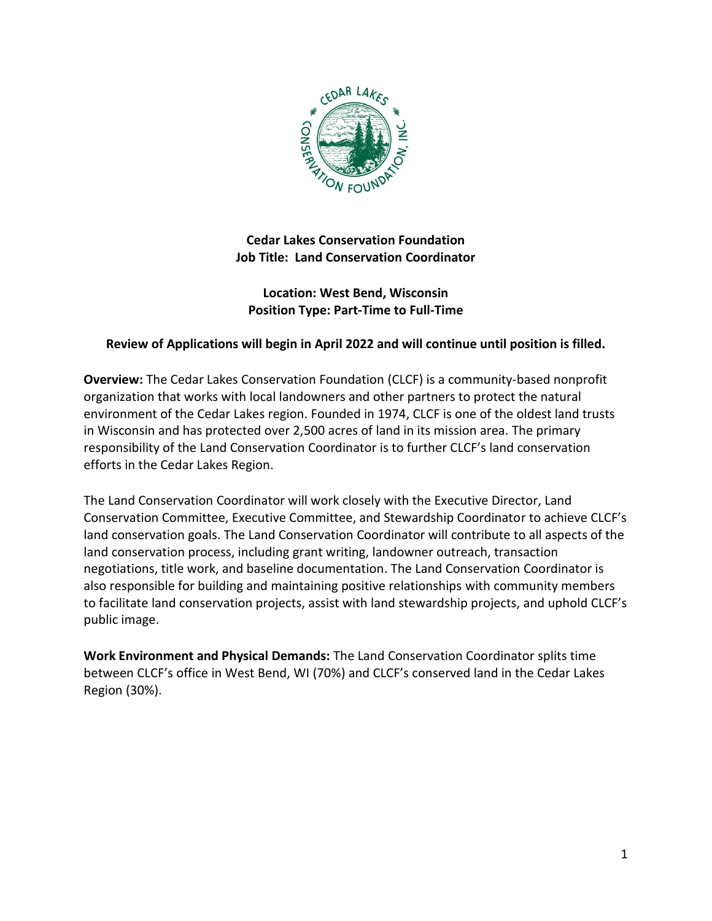

**Cedar Lakes Conservation Foundation Job Title: Land Conservation Coordinator**

### **Location: West Bend, Wisconsin Position Type: Part-Time to Full-Time**

## **Review of Applications will begin in April 2022 and will continue until position is filled.**

**Overview:** The Cedar Lakes Conservation Foundation (CLCF) is a community-based nonprofit organization that works with local landowners and other partners to protect the natural environment of the Cedar Lakes region. Founded in 1974, CLCF is one of the oldest land trusts in Wisconsin and has protected over 2,500 acres of land in its mission area. The primary responsibility of the Land Conservation Coordinator is to further CLCF's land conservation efforts in the Cedar Lakes Region.

The Land Conservation Coordinator will work closely with the Executive Director, Land Conservation Committee, Executive Committee, and Stewardship Coordinator to achieve CLCF's land conservation goals. The Land Conservation Coordinator will contribute to all aspects of the land conservation process, including grant writing, landowner outreach, transaction negotiations, title work, and baseline documentation. The Land Conservation Coordinator is also responsible for building and maintaining positive relationships with community members to facilitate land conservation projects, assist with land stewardship projects, and uphold CLCF's public image.

**Work Environment and Physical Demands:** The Land Conservation Coordinator splits time between CLCF's office in West Bend, WI (70%) and CLCF's conserved land in the Cedar Lakes Region (30%).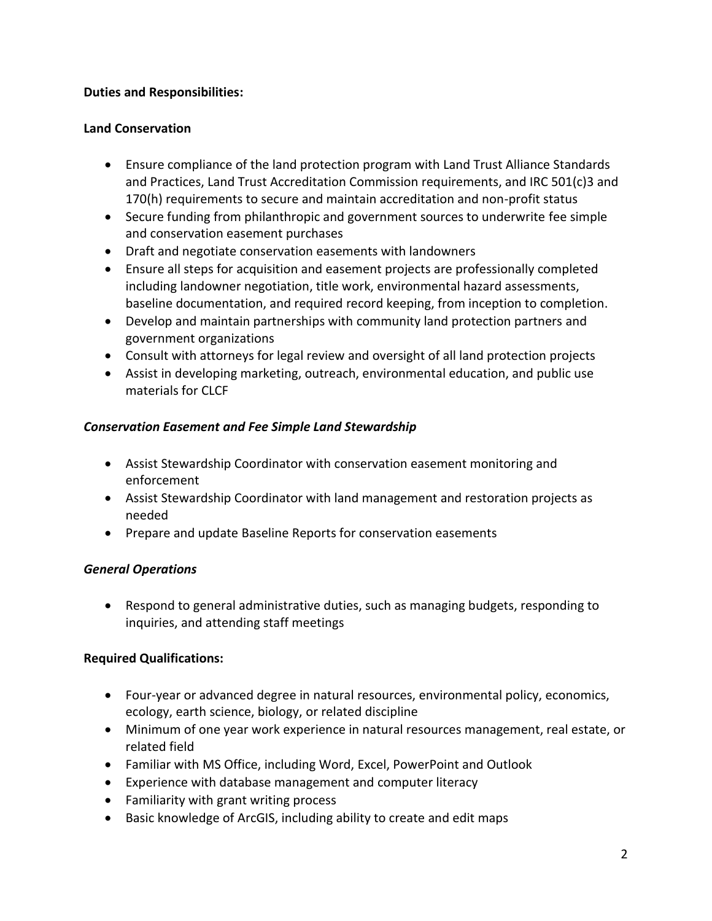## **Duties and Responsibilities:**

### **Land Conservation**

- Ensure compliance of the land protection program with Land Trust Alliance Standards and Practices, Land Trust Accreditation Commission requirements, and IRC 501(c)3 and 170(h) requirements to secure and maintain accreditation and non-profit status
- Secure funding from philanthropic and government sources to underwrite fee simple and conservation easement purchases
- Draft and negotiate conservation easements with landowners
- Ensure all steps for acquisition and easement projects are professionally completed including landowner negotiation, title work, environmental hazard assessments, baseline documentation, and required record keeping, from inception to completion.
- Develop and maintain partnerships with community land protection partners and government organizations
- Consult with attorneys for legal review and oversight of all land protection projects
- Assist in developing marketing, outreach, environmental education, and public use materials for CLCF

## *Conservation Easement and Fee Simple Land Stewardship*

- Assist Stewardship Coordinator with conservation easement monitoring and enforcement
- Assist Stewardship Coordinator with land management and restoration projects as needed
- Prepare and update Baseline Reports for conservation easements

# *General Operations*

• Respond to general administrative duties, such as managing budgets, responding to inquiries, and attending staff meetings

# **Required Qualifications:**

- Four-year or advanced degree in natural resources, environmental policy, economics, ecology, earth science, biology, or related discipline
- Minimum of one year work experience in natural resources management, real estate, or related field
- Familiar with MS Office, including Word, Excel, PowerPoint and Outlook
- Experience with database management and computer literacy
- Familiarity with grant writing process
- Basic knowledge of ArcGIS, including ability to create and edit maps